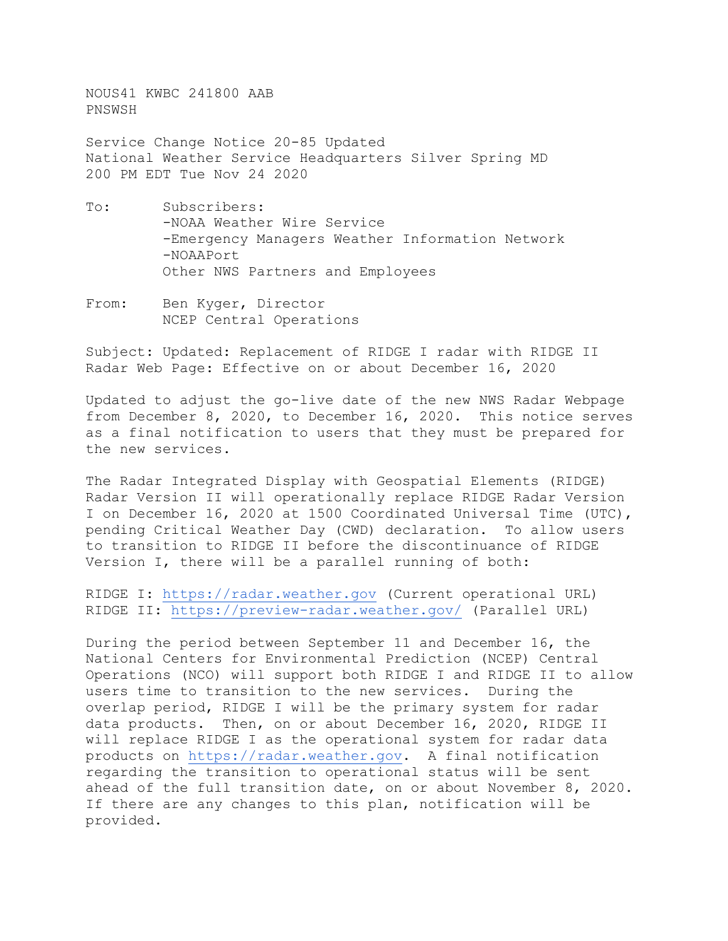NOUS41 KWBC 241800 AAB PNSWSH

Service Change Notice 20-85 Updated National Weather Service Headquarters Silver Spring MD 200 PM EDT Tue Nov 24 2020

- To: Subscribers: -NOAA Weather Wire Service -Emergency Managers Weather Information Network -NOAAPort Other NWS Partners and Employees
- From: Ben Kyger, Director NCEP Central Operations

Subject: Updated: Replacement of RIDGE I radar with RIDGE II Radar Web Page: Effective on or about December 16, 2020

Updated to adjust the go-live date of the new NWS Radar Webpage from December 8, 2020, to December 16, 2020. This notice serves as a final notification to users that they must be prepared for the new services.

The Radar Integrated Display with Geospatial Elements (RIDGE) Radar Version II will operationally replace RIDGE Radar Version I on December 16, 2020 at 1500 Coordinated Universal Time (UTC), pending Critical Weather Day (CWD) declaration. To allow users to transition to RIDGE II before the discontinuance of RIDGE Version I, there will be a parallel running of both:

RIDGE I: [https://radar.weather.gov](https://radar.weather.gov/) (Current operational URL) RIDGE II:<https://preview-radar.weather.gov/> (Parallel URL)

During the period between September 11 and December 16, the National Centers for Environmental Prediction (NCEP) Central Operations (NCO) will support both RIDGE I and RIDGE II to allow users time to transition to the new services. During the overlap period, RIDGE I will be the primary system for radar data products. Then, on or about December 16, 2020, RIDGE II will replace RIDGE I as the operational system for radar data products on [https://radar.weather.gov.](https://radar.weather.gov/) A final notification regarding the transition to operational status will be sent ahead of the full transition date, on or about November 8, 2020. If there are any changes to this plan, notification will be provided.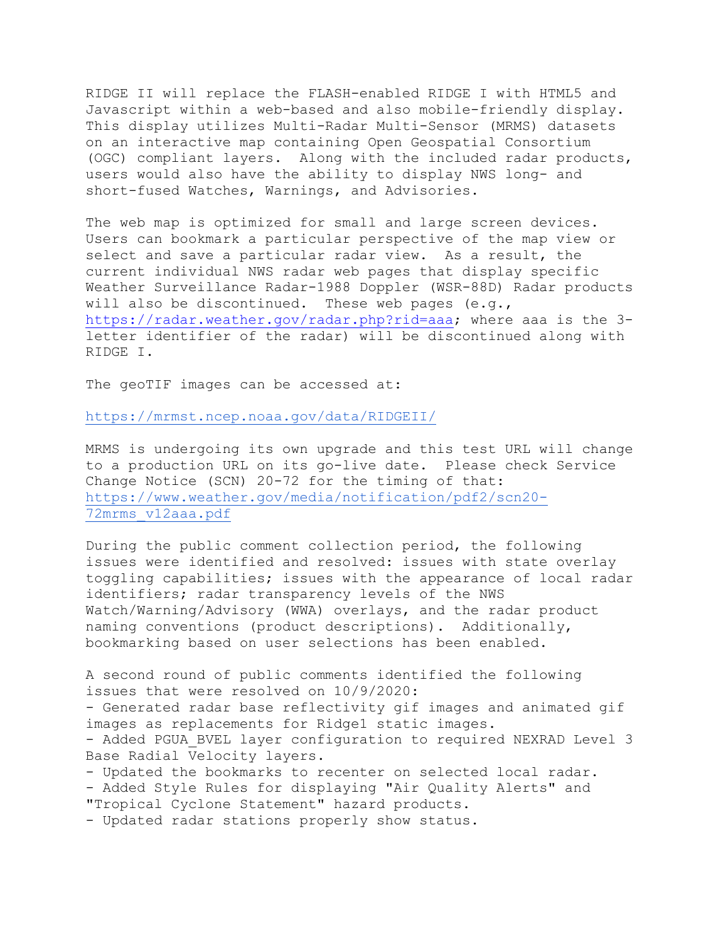RIDGE II will replace the FLASH-enabled RIDGE I with HTML5 and Javascript within a web-based and also mobile-friendly display. This display utilizes Multi-Radar Multi-Sensor (MRMS) datasets on an interactive map containing Open Geospatial Consortium (OGC) compliant layers. Along with the included radar products, users would also have the ability to display NWS long- and short-fused Watches, Warnings, and Advisories.

The web map is optimized for small and large screen devices. Users can bookmark a particular perspective of the map view or select and save a particular radar view. As a result, the current individual NWS radar web pages that display specific Weather Surveillance Radar-1988 Doppler (WSR-88D) Radar products will also be discontinued. These web pages  $(e,q, r)$ [https://radar.weather.gov/radar.php?rid=aaa;](https://radar.weather.gov/radar.php?rid=aaa) where aaa is the 3 letter identifier of the radar) will be discontinued along with RIDGE I.

The geoTIF images can be accessed at:

<https://mrmst.ncep.noaa.gov/data/RIDGEII/>

MRMS is undergoing its own upgrade and this test URL will change to a production URL on its go-live date. Please check Service Change Notice (SCN) 20-72 for the timing of that: [https://www.weather.gov/media/notification/pdf2/scn20-](https://www.weather.gov/media/notification/pdf2/scn20-72mrms_v12aaa.pdf) [72mrms\\_v12aaa.pdf](https://www.weather.gov/media/notification/pdf2/scn20-72mrms_v12aaa.pdf)

During the public comment collection period, the following issues were identified and resolved: issues with state overlay toggling capabilities; issues with the appearance of local radar identifiers; radar transparency levels of the NWS Watch/Warning/Advisory (WWA) overlays, and the radar product naming conventions (product descriptions). Additionally, bookmarking based on user selections has been enabled.

A second round of public comments identified the following issues that were resolved on 10/9/2020: - Generated radar base reflectivity gif images and animated gif images as replacements for Ridge1 static images. - Added PGUA BVEL layer configuration to required NEXRAD Level 3 Base Radial Velocity layers. - Updated the bookmarks to recenter on selected local radar. - Added Style Rules for displaying "Air Quality Alerts" and

"Tropical Cyclone Statement" hazard products.

- Updated radar stations properly show status.